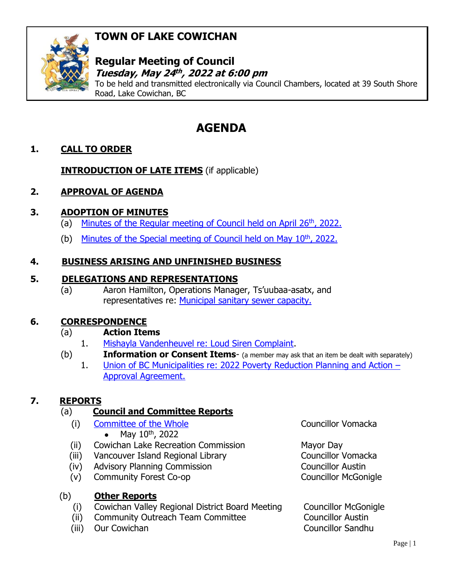## **TOWN OF LAKE COWICHAN**



#### **Regular Meeting of Council Tuesday, May 24 th , 2022 at 6:00 pm**

To be held and transmitted electronically via Council Chambers, located at 39 South Shore Road, Lake Cowichan, BC

# **AGENDA**

## **1. CALL TO ORDER**

**INTRODUCTION OF LATE ITEMS** (if applicable)

## **2. APPROVAL OF AGENDA**

## **3. ADOPTION OF MINUTES**

- (a) [Minutes of the Regular meeting of Council held on April 26](http://www.lakecowichan.ca/dl/22-04-26REG.pdf)<sup>th</sup>, 2022.
- (b) [Minutes of the Special meeting of Council held on May 10](http://www.lakecowichan.ca/dl/22-05-10SPEC.pdf)<sup>th</sup>, 2022.

### **4. BUSINESS ARISING AND UNFINISHED BUSINESS**

#### **5. DELEGATIONS AND REPRESENTATIONS**

(a) Aaron Hamilton, Operations Manager, Ts'uubaa-asatx, and representatives re: [Municipal sanitary sewer capacity.](http://www.lakecowichan.ca/dl/1525-091%20Sewer%20Capacity%20Assessment%20May%202022.pptx)

#### **6. CORRESPONDENCE**

#### (a) **Action Items**

- 1. [Mishayla Vandenheuvel re: Loud Siren Complaint.](http://www.lakecowichan.ca/dl/Siren%20Complaint.pdf)
- (b) **Information or Consent Items** (a member may ask that an item be dealt with separately)
	- 1. [Union of BC Municipalities re: 2022 Poverty Reduction Planning and Action](http://www.lakecowichan.ca/dl/LakeCowichan-AP7222-2022PovRed.pdf)  [Approval Agreement.](http://www.lakecowichan.ca/dl/LakeCowichan-AP7222-2022PovRed.pdf)

## **7. REPORTS**

## (a) **Council and Committee Reports**

- (i) [Committee of the Whole](http://www.lakecowichan.ca/dl/22-05-10CW.pdf) Councillor Vomacka • May  $10^{th}$ , 2022
- (ii) Cowichan Lake Recreation Commission Mayor Day
- (iii) Vancouver Island Regional Library Councillor Vomacka
- (iv) Advisory Planning Commission Councillor Austin
- (v) Community Forest Co-op Councillor McGonigle

## (b) **Other Reports**

- (i) Cowichan Valley Regional District Board Meeting Councillor McGonigle
- (ii) Community Outreach Team Committee Councillor Austin
- (iii) Our Cowichan Councillor Sandhu